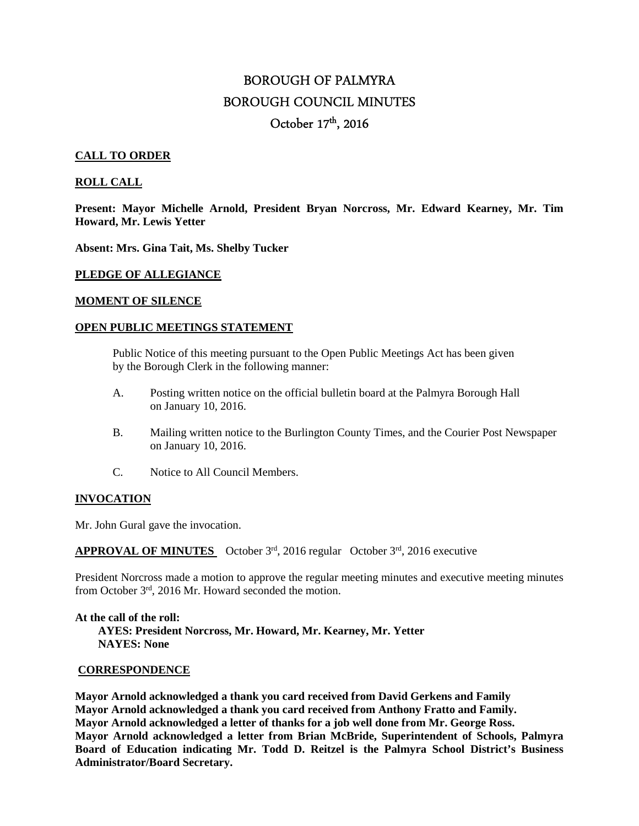# BOROUGH OF PALMYRA BOROUGH COUNCIL MINUTES October 17<sup>th</sup>, 2016

# **CALL TO ORDER**

# **ROLL CALL**

**Present: Mayor Michelle Arnold, President Bryan Norcross, Mr. Edward Kearney, Mr. Tim Howard, Mr. Lewis Yetter** 

**Absent: Mrs. Gina Tait, Ms. Shelby Tucker** 

#### **PLEDGE OF ALLEGIANCE**

#### **MOMENT OF SILENCE**

#### **OPEN PUBLIC MEETINGS STATEMENT**

 Public Notice of this meeting pursuant to the Open Public Meetings Act has been given by the Borough Clerk in the following manner:

- A. Posting written notice on the official bulletin board at the Palmyra Borough Hall on January 10, 2016.
- B. Mailing written notice to the Burlington County Times, and the Courier Post Newspaper on January 10, 2016.
- C. Notice to All Council Members.

# **INVOCATION**

Mr. John Gural gave the invocation.

**APPROVAL OF MINUTES** October 3rd, 2016 regular October 3rd, 2016 executive

President Norcross made a motion to approve the regular meeting minutes and executive meeting minutes from October 3rd, 2016 Mr. Howard seconded the motion.

**At the call of the roll: AYES: President Norcross, Mr. Howard, Mr. Kearney, Mr. Yetter NAYES: None** 

## **CORRESPONDENCE**

**Mayor Arnold acknowledged a thank you card received from David Gerkens and Family Mayor Arnold acknowledged a thank you card received from Anthony Fratto and Family. Mayor Arnold acknowledged a letter of thanks for a job well done from Mr. George Ross. Mayor Arnold acknowledged a letter from Brian McBride, Superintendent of Schools, Palmyra Board of Education indicating Mr. Todd D. Reitzel is the Palmyra School District's Business Administrator/Board Secretary.**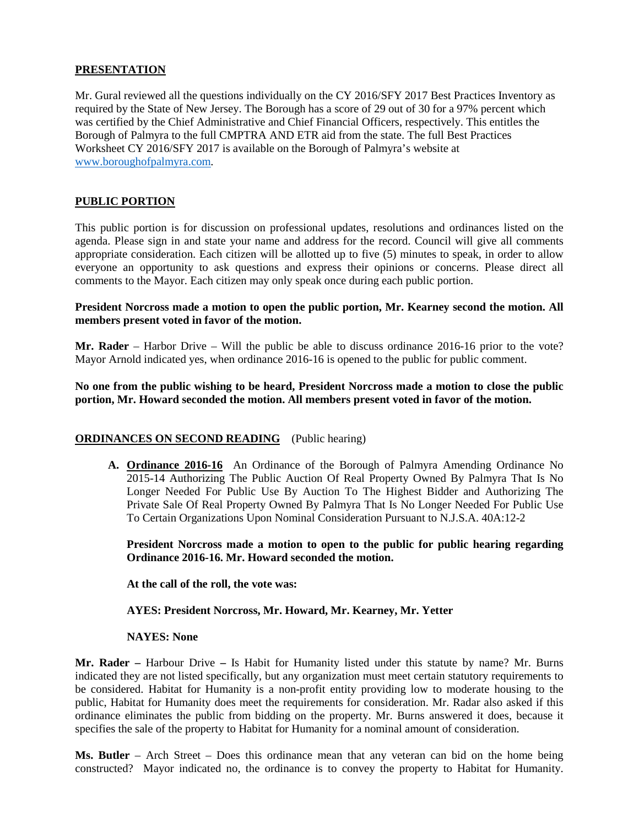# **PRESENTATION**

Mr. Gural reviewed all the questions individually on the CY 2016/SFY 2017 Best Practices Inventory as required by the State of New Jersey. The Borough has a score of 29 out of 30 for a 97% percent which was certified by the Chief Administrative and Chief Financial Officers, respectively. This entitles the Borough of Palmyra to the full CMPTRA AND ETR aid from the state. The full Best Practices Worksheet CY 2016/SFY 2017 is available on the Borough of Palmyra's website at www.boroughofpalmyra.com.

# **PUBLIC PORTION**

This public portion is for discussion on professional updates, resolutions and ordinances listed on the agenda. Please sign in and state your name and address for the record. Council will give all comments appropriate consideration. Each citizen will be allotted up to five (5) minutes to speak, in order to allow everyone an opportunity to ask questions and express their opinions or concerns. Please direct all comments to the Mayor. Each citizen may only speak once during each public portion.

## **President Norcross made a motion to open the public portion, Mr. Kearney second the motion. All members present voted in favor of the motion.**

**Mr. Rader** – Harbor Drive – Will the public be able to discuss ordinance 2016-16 prior to the vote? Mayor Arnold indicated yes, when ordinance 2016-16 is opened to the public for public comment.

**No one from the public wishing to be heard, President Norcross made a motion to close the public portion, Mr. Howard seconded the motion. All members present voted in favor of the motion.** 

# **ORDINANCES ON SECOND READING** (Public hearing)

**A. Ordinance 2016-16** An Ordinance of the Borough of Palmyra Amending Ordinance No 2015-14 Authorizing The Public Auction Of Real Property Owned By Palmyra That Is No Longer Needed For Public Use By Auction To The Highest Bidder and Authorizing The Private Sale Of Real Property Owned By Palmyra That Is No Longer Needed For Public Use To Certain Organizations Upon Nominal Consideration Pursuant to N.J.S.A. 40A:12-2

**President Norcross made a motion to open to the public for public hearing regarding Ordinance 2016-16. Mr. Howard seconded the motion.** 

**At the call of the roll, the vote was:** 

#### **AYES: President Norcross, Mr. Howard, Mr. Kearney, Mr. Yetter**

#### **NAYES: None**

**Mr. Rader –** Harbour Drive **–** Is Habit for Humanity listed under this statute by name? Mr. Burns indicated they are not listed specifically, but any organization must meet certain statutory requirements to be considered. Habitat for Humanity is a non-profit entity providing low to moderate housing to the public, Habitat for Humanity does meet the requirements for consideration. Mr. Radar also asked if this ordinance eliminates the public from bidding on the property. Mr. Burns answered it does, because it specifies the sale of the property to Habitat for Humanity for a nominal amount of consideration.

**Ms. Butler** – Arch Street – Does this ordinance mean that any veteran can bid on the home being constructed? Mayor indicated no, the ordinance is to convey the property to Habitat for Humanity.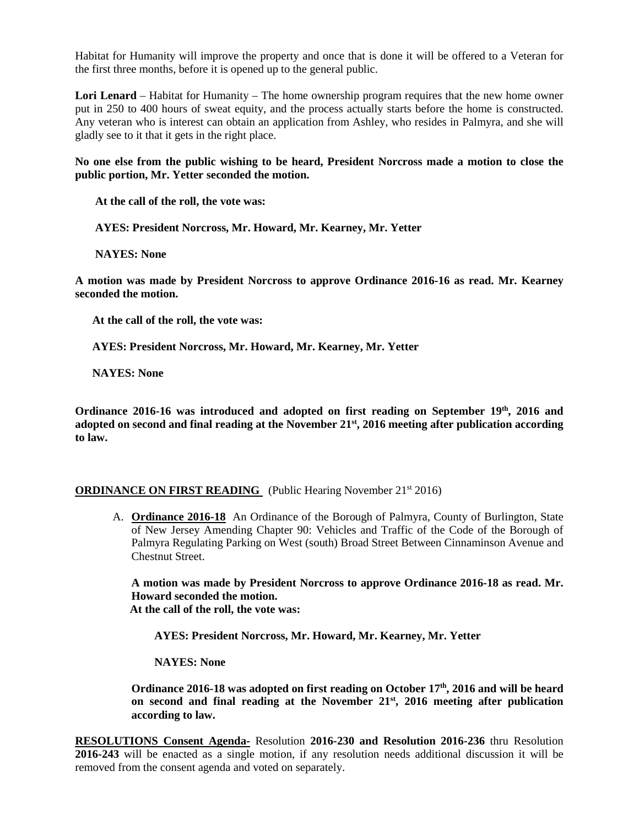Habitat for Humanity will improve the property and once that is done it will be offered to a Veteran for the first three months, before it is opened up to the general public.

**Lori Lenard** – Habitat for Humanity – The home ownership program requires that the new home owner put in 250 to 400 hours of sweat equity, and the process actually starts before the home is constructed. Any veteran who is interest can obtain an application from Ashley, who resides in Palmyra, and she will gladly see to it that it gets in the right place.

**No one else from the public wishing to be heard, President Norcross made a motion to close the public portion, Mr. Yetter seconded the motion.**

**At the call of the roll, the vote was:** 

 **AYES: President Norcross, Mr. Howard, Mr. Kearney, Mr. Yetter** 

 **NAYES: None** 

**A motion was made by President Norcross to approve Ordinance 2016-16 as read. Mr. Kearney seconded the motion.** 

 **At the call of the roll, the vote was:** 

 **AYES: President Norcross, Mr. Howard, Mr. Kearney, Mr. Yetter** 

 **NAYES: None** 

**Ordinance 2016-16 was introduced and adopted on first reading on September 19th, 2016 and adopted on second and final reading at the November 21st, 2016 meeting after publication according to law.** 

# **ORDINANCE ON FIRST READING** (Public Hearing November 21<sup>st</sup> 2016)

A. **Ordinance 2016-18** An Ordinance of the Borough of Palmyra, County of Burlington, State of New Jersey Amending Chapter 90: Vehicles and Traffic of the Code of the Borough of Palmyra Regulating Parking on West (south) Broad Street Between Cinnaminson Avenue and Chestnut Street.

**A motion was made by President Norcross to approve Ordinance 2016-18 as read. Mr. Howard seconded the motion. At the call of the roll, the vote was:** 

 **AYES: President Norcross, Mr. Howard, Mr. Kearney, Mr. Yetter** 

 **NAYES: None** 

**Ordinance 2016-18 was adopted on first reading on October 17th, 2016 and will be heard on second and final reading at the November 21st, 2016 meeting after publication according to law.** 

**RESOLUTIONS Consent Agenda-** Resolution **2016-230 and Resolution 2016-236** thru Resolution **2016-243** will be enacted as a single motion, if any resolution needs additional discussion it will be removed from the consent agenda and voted on separately.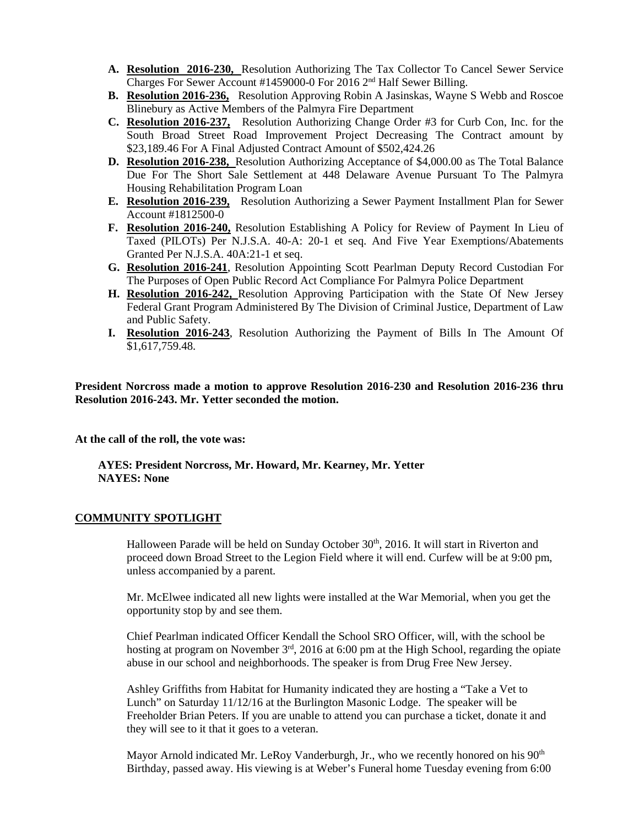- **A. Resolution 2016-230,** Resolution Authorizing The Tax Collector To Cancel Sewer Service Charges For Sewer Account #1459000-0 For 2016 2nd Half Sewer Billing.
- **B. Resolution 2016-236,** Resolution Approving Robin A Jasinskas, Wayne S Webb and Roscoe Blinebury as Active Members of the Palmyra Fire Department
- **C. Resolution 2016-237,** Resolution Authorizing Change Order #3 for Curb Con, Inc. for the South Broad Street Road Improvement Project Decreasing The Contract amount by \$23,189.46 For A Final Adjusted Contract Amount of \$502,424.26
- **D. Resolution 2016-238,** Resolution Authorizing Acceptance of \$4,000.00 as The Total Balance Due For The Short Sale Settlement at 448 Delaware Avenue Pursuant To The Palmyra Housing Rehabilitation Program Loan
- **E. Resolution 2016-239,** Resolution Authorizing a Sewer Payment Installment Plan for Sewer Account #1812500-0
- **F. Resolution 2016-240,** Resolution Establishing A Policy for Review of Payment In Lieu of Taxed (PILOTs) Per N.J.S.A. 40-A: 20-1 et seq. And Five Year Exemptions/Abatements Granted Per N.J.S.A. 40A:21-1 et seq.
- **G. Resolution 2016-241**, Resolution Appointing Scott Pearlman Deputy Record Custodian For The Purposes of Open Public Record Act Compliance For Palmyra Police Department
- **H. Resolution 2016-242,** Resolution Approving Participation with the State Of New Jersey Federal Grant Program Administered By The Division of Criminal Justice, Department of Law and Public Safety.
- **I. Resolution 2016-243**, Resolution Authorizing the Payment of Bills In The Amount Of \$1,617,759.48.

**President Norcross made a motion to approve Resolution 2016-230 and Resolution 2016-236 thru Resolution 2016-243. Mr. Yetter seconded the motion.** 

**At the call of the roll, the vote was:** 

 **AYES: President Norcross, Mr. Howard, Mr. Kearney, Mr. Yetter NAYES: None** 

#### **COMMUNITY SPOTLIGHT**

Halloween Parade will be held on Sunday October 30<sup>th</sup>, 2016. It will start in Riverton and proceed down Broad Street to the Legion Field where it will end. Curfew will be at 9:00 pm, unless accompanied by a parent.

Mr. McElwee indicated all new lights were installed at the War Memorial, when you get the opportunity stop by and see them.

Chief Pearlman indicated Officer Kendall the School SRO Officer, will, with the school be hosting at program on November 3<sup>rd</sup>, 2016 at 6:00 pm at the High School, regarding the opiate abuse in our school and neighborhoods. The speaker is from Drug Free New Jersey.

Ashley Griffiths from Habitat for Humanity indicated they are hosting a "Take a Vet to Lunch" on Saturday 11/12/16 at the Burlington Masonic Lodge. The speaker will be Freeholder Brian Peters. If you are unable to attend you can purchase a ticket, donate it and they will see to it that it goes to a veteran.

Mayor Arnold indicated Mr. LeRoy Vanderburgh, Jr., who we recently honored on his 90<sup>th</sup> Birthday, passed away. His viewing is at Weber's Funeral home Tuesday evening from 6:00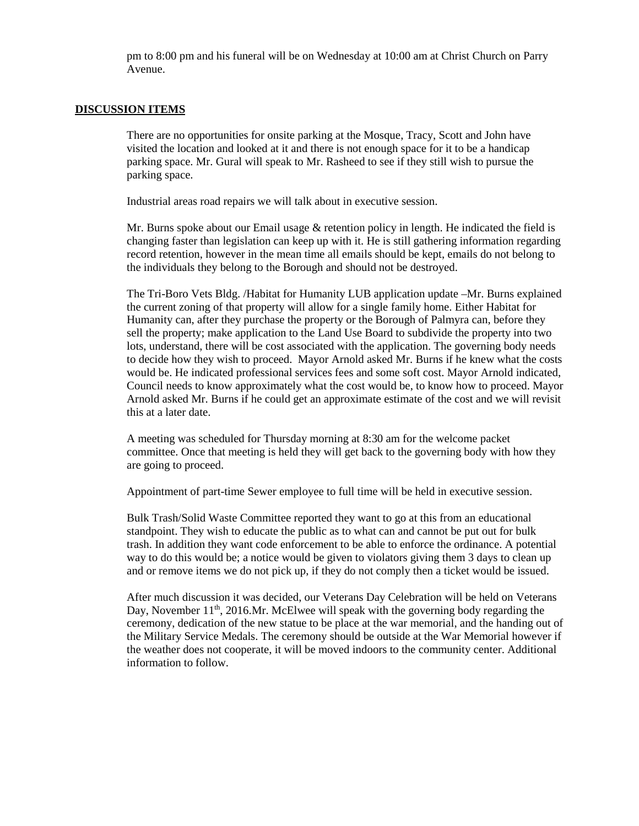pm to 8:00 pm and his funeral will be on Wednesday at 10:00 am at Christ Church on Parry Avenue.

# **DISCUSSION ITEMS**

There are no opportunities for onsite parking at the Mosque, Tracy, Scott and John have visited the location and looked at it and there is not enough space for it to be a handicap parking space. Mr. Gural will speak to Mr. Rasheed to see if they still wish to pursue the parking space.

Industrial areas road repairs we will talk about in executive session.

Mr. Burns spoke about our Email usage & retention policy in length. He indicated the field is changing faster than legislation can keep up with it. He is still gathering information regarding record retention, however in the mean time all emails should be kept, emails do not belong to the individuals they belong to the Borough and should not be destroyed.

The Tri-Boro Vets Bldg. /Habitat for Humanity LUB application update –Mr. Burns explained the current zoning of that property will allow for a single family home. Either Habitat for Humanity can, after they purchase the property or the Borough of Palmyra can, before they sell the property; make application to the Land Use Board to subdivide the property into two lots, understand, there will be cost associated with the application. The governing body needs to decide how they wish to proceed. Mayor Arnold asked Mr. Burns if he knew what the costs would be. He indicated professional services fees and some soft cost. Mayor Arnold indicated, Council needs to know approximately what the cost would be, to know how to proceed. Mayor Arnold asked Mr. Burns if he could get an approximate estimate of the cost and we will revisit this at a later date.

A meeting was scheduled for Thursday morning at 8:30 am for the welcome packet committee. Once that meeting is held they will get back to the governing body with how they are going to proceed.

Appointment of part-time Sewer employee to full time will be held in executive session.

Bulk Trash/Solid Waste Committee reported they want to go at this from an educational standpoint. They wish to educate the public as to what can and cannot be put out for bulk trash. In addition they want code enforcement to be able to enforce the ordinance. A potential way to do this would be; a notice would be given to violators giving them 3 days to clean up and or remove items we do not pick up, if they do not comply then a ticket would be issued.

After much discussion it was decided, our Veterans Day Celebration will be held on Veterans Day, November  $11<sup>th</sup>$ , 2016.Mr. McElwee will speak with the governing body regarding the ceremony, dedication of the new statue to be place at the war memorial, and the handing out of the Military Service Medals. The ceremony should be outside at the War Memorial however if the weather does not cooperate, it will be moved indoors to the community center. Additional information to follow.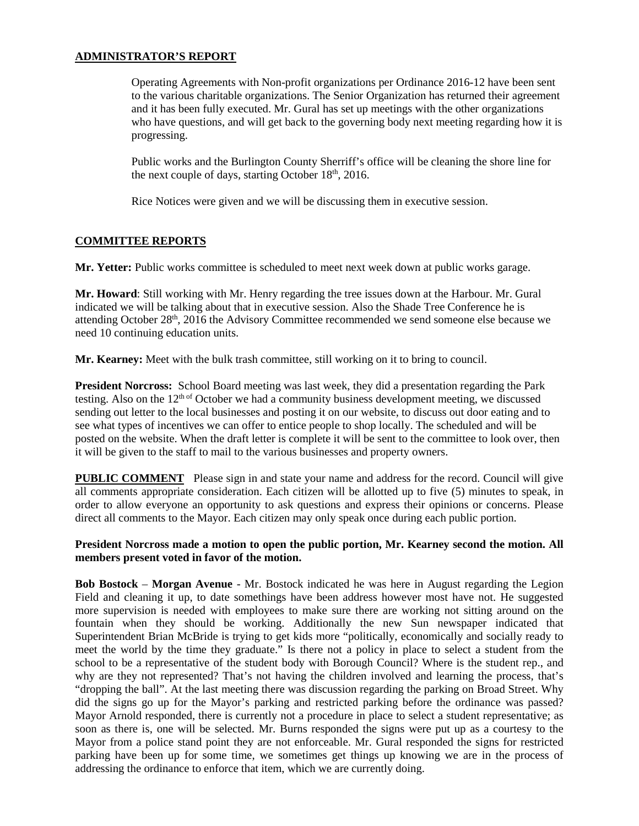# **ADMINISTRATOR'S REPORT**

Operating Agreements with Non-profit organizations per Ordinance 2016-12 have been sent to the various charitable organizations. The Senior Organization has returned their agreement and it has been fully executed. Mr. Gural has set up meetings with the other organizations who have questions, and will get back to the governing body next meeting regarding how it is progressing.

Public works and the Burlington County Sherriff's office will be cleaning the shore line for the next couple of days, starting October  $18<sup>th</sup>$ , 2016.

Rice Notices were given and we will be discussing them in executive session.

# **COMMITTEE REPORTS**

**Mr. Yetter:** Public works committee is scheduled to meet next week down at public works garage.

**Mr. Howard**: Still working with Mr. Henry regarding the tree issues down at the Harbour. Mr. Gural indicated we will be talking about that in executive session. Also the Shade Tree Conference he is attending October 28th, 2016 the Advisory Committee recommended we send someone else because we need 10 continuing education units.

**Mr. Kearney:** Meet with the bulk trash committee, still working on it to bring to council.

**President Norcross:** School Board meeting was last week, they did a presentation regarding the Park testing. Also on the 12th of October we had a community business development meeting, we discussed sending out letter to the local businesses and posting it on our website, to discuss out door eating and to see what types of incentives we can offer to entice people to shop locally. The scheduled and will be posted on the website. When the draft letter is complete it will be sent to the committee to look over, then it will be given to the staff to mail to the various businesses and property owners.

**PUBLIC COMMENT** Please sign in and state your name and address for the record. Council will give all comments appropriate consideration. Each citizen will be allotted up to five (5) minutes to speak, in order to allow everyone an opportunity to ask questions and express their opinions or concerns. Please direct all comments to the Mayor. Each citizen may only speak once during each public portion.

# **President Norcross made a motion to open the public portion, Mr. Kearney second the motion. All members present voted in favor of the motion.**

**Bob Bostock** – **Morgan Avenue** - Mr. Bostock indicated he was here in August regarding the Legion Field and cleaning it up, to date somethings have been address however most have not. He suggested more supervision is needed with employees to make sure there are working not sitting around on the fountain when they should be working. Additionally the new Sun newspaper indicated that Superintendent Brian McBride is trying to get kids more "politically, economically and socially ready to meet the world by the time they graduate." Is there not a policy in place to select a student from the school to be a representative of the student body with Borough Council? Where is the student rep., and why are they not represented? That's not having the children involved and learning the process, that's "dropping the ball". At the last meeting there was discussion regarding the parking on Broad Street. Why did the signs go up for the Mayor's parking and restricted parking before the ordinance was passed? Mayor Arnold responded, there is currently not a procedure in place to select a student representative; as soon as there is, one will be selected. Mr. Burns responded the signs were put up as a courtesy to the Mayor from a police stand point they are not enforceable. Mr. Gural responded the signs for restricted parking have been up for some time, we sometimes get things up knowing we are in the process of addressing the ordinance to enforce that item, which we are currently doing.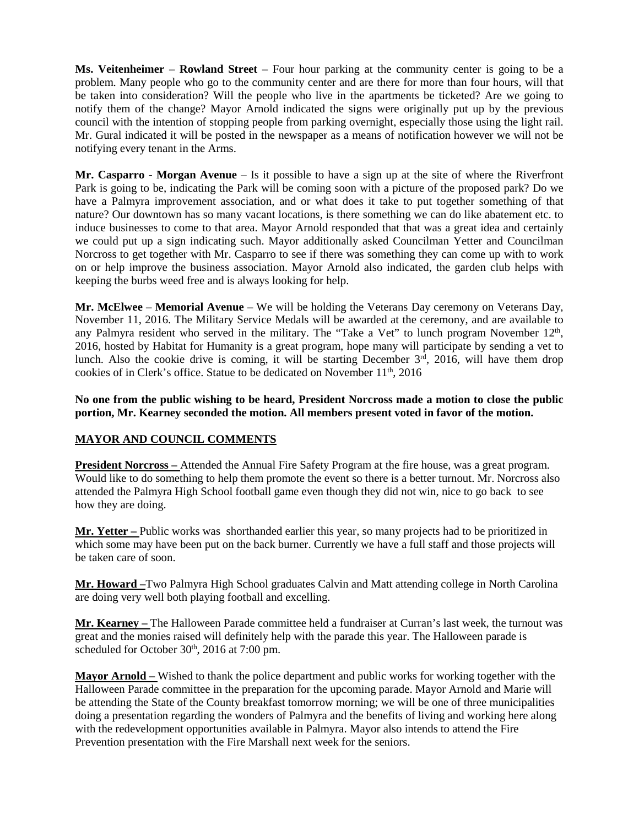**Ms. Veitenheimer** – **Rowland Street** – Four hour parking at the community center is going to be a problem. Many people who go to the community center and are there for more than four hours, will that be taken into consideration? Will the people who live in the apartments be ticketed? Are we going to notify them of the change? Mayor Arnold indicated the signs were originally put up by the previous council with the intention of stopping people from parking overnight, especially those using the light rail. Mr. Gural indicated it will be posted in the newspaper as a means of notification however we will not be notifying every tenant in the Arms.

**Mr. Casparro - Morgan Avenue** – Is it possible to have a sign up at the site of where the Riverfront Park is going to be, indicating the Park will be coming soon with a picture of the proposed park? Do we have a Palmyra improvement association, and or what does it take to put together something of that nature? Our downtown has so many vacant locations, is there something we can do like abatement etc. to induce businesses to come to that area. Mayor Arnold responded that that was a great idea and certainly we could put up a sign indicating such. Mayor additionally asked Councilman Yetter and Councilman Norcross to get together with Mr. Casparro to see if there was something they can come up with to work on or help improve the business association. Mayor Arnold also indicated, the garden club helps with keeping the burbs weed free and is always looking for help.

**Mr. McElwee** – **Memorial Avenue** – We will be holding the Veterans Day ceremony on Veterans Day, November 11, 2016. The Military Service Medals will be awarded at the ceremony, and are available to any Palmyra resident who served in the military. The "Take a Vet" to lunch program November 12<sup>th</sup>, 2016, hosted by Habitat for Humanity is a great program, hope many will participate by sending a vet to lunch. Also the cookie drive is coming, it will be starting December  $3<sup>rd</sup>$ , 2016, will have them drop cookies of in Clerk's office. Statue to be dedicated on November 11<sup>th</sup>, 2016

**No one from the public wishing to be heard, President Norcross made a motion to close the public portion, Mr. Kearney seconded the motion. All members present voted in favor of the motion.** 

# **MAYOR AND COUNCIL COMMENTS**

**President Norcross –** Attended the Annual Fire Safety Program at the fire house, was a great program. Would like to do something to help them promote the event so there is a better turnout. Mr. Norcross also attended the Palmyra High School football game even though they did not win, nice to go back to see how they are doing.

**Mr. Yetter –** Public works was shorthanded earlier this year, so many projects had to be prioritized in which some may have been put on the back burner. Currently we have a full staff and those projects will be taken care of soon.

**Mr. Howard –**Two Palmyra High School graduates Calvin and Matt attending college in North Carolina are doing very well both playing football and excelling.

**Mr. Kearney –** The Halloween Parade committee held a fundraiser at Curran's last week, the turnout was great and the monies raised will definitely help with the parade this year. The Halloween parade is scheduled for October  $30<sup>th</sup>$ , 2016 at 7:00 pm.

**Mayor Arnold –** Wished to thank the police department and public works for working together with the Halloween Parade committee in the preparation for the upcoming parade. Mayor Arnold and Marie will be attending the State of the County breakfast tomorrow morning; we will be one of three municipalities doing a presentation regarding the wonders of Palmyra and the benefits of living and working here along with the redevelopment opportunities available in Palmyra. Mayor also intends to attend the Fire Prevention presentation with the Fire Marshall next week for the seniors.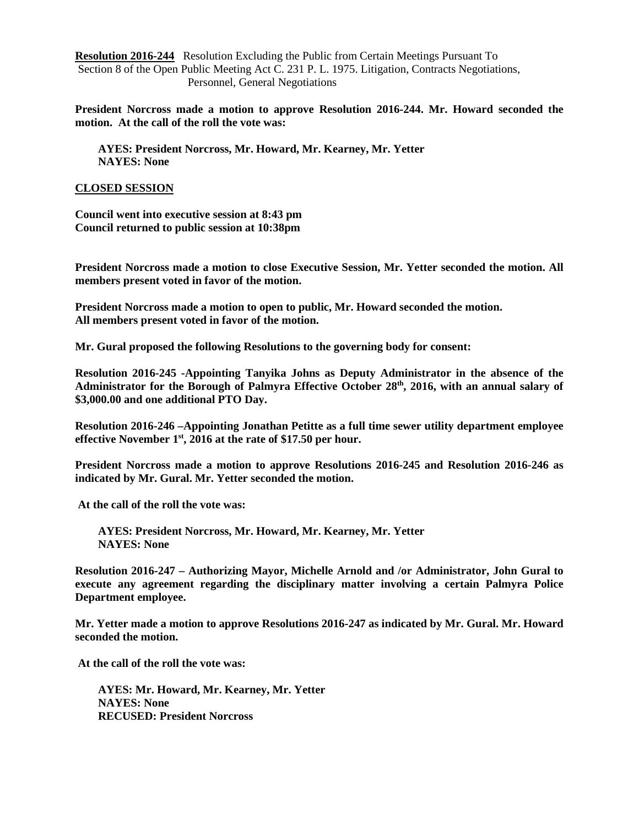**Resolution 2016-244** Resolution Excluding the Public from Certain Meetings Pursuant To Section 8 of the Open Public Meeting Act C. 231 P. L. 1975. Litigation, Contracts Negotiations, Personnel, General Negotiations

**President Norcross made a motion to approve Resolution 2016-244. Mr. Howard seconded the motion. At the call of the roll the vote was:** 

 **AYES: President Norcross, Mr. Howard, Mr. Kearney, Mr. Yetter NAYES: None** 

#### **CLOSED SESSION**

**Council went into executive session at 8:43 pm Council returned to public session at 10:38pm** 

**President Norcross made a motion to close Executive Session, Mr. Yetter seconded the motion. All members present voted in favor of the motion.** 

**President Norcross made a motion to open to public, Mr. Howard seconded the motion. All members present voted in favor of the motion.** 

**Mr. Gural proposed the following Resolutions to the governing body for consent:** 

**Resolution 2016-245 -Appointing Tanyika Johns as Deputy Administrator in the absence of the Administrator for the Borough of Palmyra Effective October 28th, 2016, with an annual salary of \$3,000.00 and one additional PTO Day.** 

**Resolution 2016-246 –Appointing Jonathan Petitte as a full time sewer utility department employee effective November 1st, 2016 at the rate of \$17.50 per hour.** 

**President Norcross made a motion to approve Resolutions 2016-245 and Resolution 2016-246 as indicated by Mr. Gural. Mr. Yetter seconded the motion.** 

 **At the call of the roll the vote was:** 

 **AYES: President Norcross, Mr. Howard, Mr. Kearney, Mr. Yetter NAYES: None** 

**Resolution 2016-247 – Authorizing Mayor, Michelle Arnold and /or Administrator, John Gural to execute any agreement regarding the disciplinary matter involving a certain Palmyra Police Department employee.** 

**Mr. Yetter made a motion to approve Resolutions 2016-247 as indicated by Mr. Gural. Mr. Howard seconded the motion.** 

 **At the call of the roll the vote was:** 

 **AYES: Mr. Howard, Mr. Kearney, Mr. Yetter NAYES: None RECUSED: President Norcross**